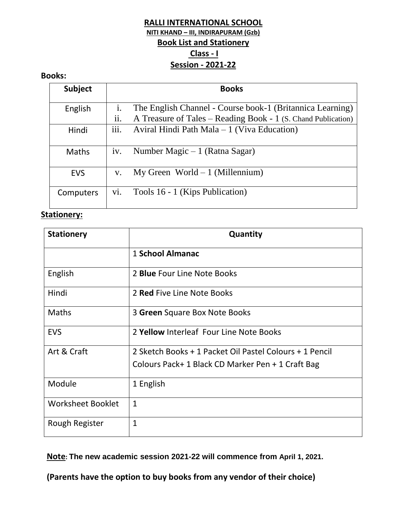# **RALLI INTERNATIONAL SCHOOL NITI KHAND – III, INDIRAPURAM (Gzb) Book List and Stationery Class - I Session - 2021-22**

#### **Books:**

| <b>Subject</b> |                            | <b>Books</b>                                                                                                               |
|----------------|----------------------------|----------------------------------------------------------------------------------------------------------------------------|
| English        | 1.<br>$\cdot \cdot$<br>ii. | The English Channel - Course book-1 (Britannica Learning)<br>A Treasure of Tales – Reading Book - 1 (S. Chand Publication) |
| Hindi          | $\cdots$<br>111.           | Aviral Hindi Path Mala – 1 (Viva Education)                                                                                |
| <b>Maths</b>   | iv.                        | Number Magic $-1$ (Ratna Sagar)                                                                                            |
| <b>EVS</b>     | $V_{\star}$                | $My Green World - 1 (Millennim)$                                                                                           |
| Computers      | vi.                        | Tools 16 - 1 (Kips Publication)                                                                                            |

### **Stationery:**

| <b>Stationery</b>        | Quantity                                                |
|--------------------------|---------------------------------------------------------|
|                          | 1 School Almanac                                        |
| English                  | 2 <b>Blue</b> Four Line Note Books                      |
| Hindi                    | 2 Red Five Line Note Books                              |
| <b>Maths</b>             | 3 Green Square Box Note Books                           |
| <b>EVS</b>               | 2 Yellow Interleaf Four Line Note Books                 |
| Art & Craft              | 2 Sketch Books + 1 Packet Oil Pastel Colours + 1 Pencil |
|                          | Colours Pack+ 1 Black CD Marker Pen + 1 Craft Bag       |
| Module                   | 1 English                                               |
| <b>Worksheet Booklet</b> | $\mathbf{1}$                                            |
| Rough Register           | $\mathbf{1}$                                            |

**Note: The new academic session 2021-22 will commence from April 1, 2021.**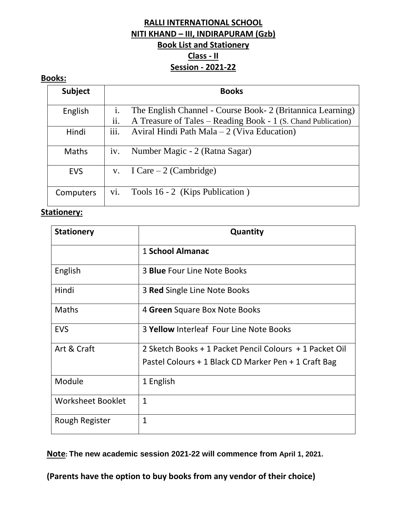# **RALLI INTERNATIONAL SCHOOL NITI KHAND – III, INDIRAPURAM (Gzb) Book List and Stationery Class - II Session - 2021-22**

#### **Books:**

| <b>Subject</b> |                       | <b>Books</b>                                                                                                                |
|----------------|-----------------------|-----------------------------------------------------------------------------------------------------------------------------|
| English        | $\mathbf{i}$ .<br>ii. | The English Channel - Course Book- 2 (Britannica Learning)<br>A Treasure of Tales – Reading Book - 1 (S. Chand Publication) |
| Hindi          | iii.                  | Aviral Hindi Path Mala - 2 (Viva Education)                                                                                 |
| <b>Maths</b>   | iv.                   | Number Magic - 2 (Ratna Sagar)                                                                                              |
| <b>EVS</b>     | $V_{\star}$           | I Care $-2$ (Cambridge)                                                                                                     |
| Computers      | vi.                   | Tools 16 - 2 (Kips Publication)                                                                                             |

# **Stationery:**

| <b>Stationery</b>        | Quantity                                                |
|--------------------------|---------------------------------------------------------|
|                          | 1 School Almanac                                        |
| English                  | 3 <b>Blue</b> Four Line Note Books                      |
| Hindi                    | 3 <b>Red</b> Single Line Note Books                     |
| <b>Maths</b>             | 4 Green Square Box Note Books                           |
| <b>EVS</b>               | 3 Yellow Interleaf Four Line Note Books                 |
| Art & Craft              | 2 Sketch Books + 1 Packet Pencil Colours + 1 Packet Oil |
|                          | Pastel Colours + 1 Black CD Marker Pen + 1 Craft Bag    |
| Module                   | 1 English                                               |
| <b>Worksheet Booklet</b> | $\mathbf{1}$                                            |
| Rough Register           | $\mathbf{1}$                                            |

**Note: The new academic session 2021-22 will commence from April 1, 2021.**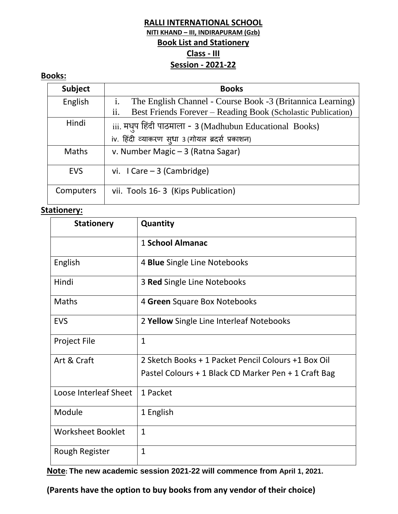## **RALLI INTERNATIONAL SCHOOL NITI KHAND – III, INDIRAPURAM (Gzb) Book List and Stationery Class - III Session - 2021-22**

### **Books:**

| <b>Subject</b> | <b>Books</b>                                                        |
|----------------|---------------------------------------------------------------------|
| English        | The English Channel - Course Book -3 (Britannica Learning)          |
|                | ii.<br>Best Friends Forever – Reading Book (Scholastic Publication) |
| Hindi          | iii. मधुप हिंदी पाठमाला - 3 (Madhubun Educational Books)            |
|                | iv. हिंदी व्याकरण स्धा 3 (गोयल ब्रदर्स प्रकाशन)                     |
| <b>Maths</b>   | v. Number Magic - 3 (Ratna Sagar)                                   |
| <b>EVS</b>     | vi. $l$ Care $-3$ (Cambridge)                                       |
| Computers      | vii. Tools 16-3 (Kips Publication)                                  |

#### **Stationery:**

| <b>Stationery</b>        | Quantity                                             |
|--------------------------|------------------------------------------------------|
|                          | 1 School Almanac                                     |
| English                  | 4 Blue Single Line Notebooks                         |
| Hindi                    | 3 Red Single Line Notebooks                          |
| <b>Maths</b>             | 4 Green Square Box Notebooks                         |
| <b>EVS</b>               | 2 Yellow Single Line Interleaf Notebooks             |
| <b>Project File</b>      | $\mathbf{1}$                                         |
| Art & Craft              | 2 Sketch Books + 1 Packet Pencil Colours +1 Box Oil  |
|                          | Pastel Colours + 1 Black CD Marker Pen + 1 Craft Bag |
| Loose Interleaf Sheet    | 1 Packet                                             |
| Module                   | 1 English                                            |
| <b>Worksheet Booklet</b> | $\mathbf{1}$                                         |
| Rough Register           | $\mathbf{1}$                                         |

**Note: The new academic session 2021-22 will commence from April 1, 2021.**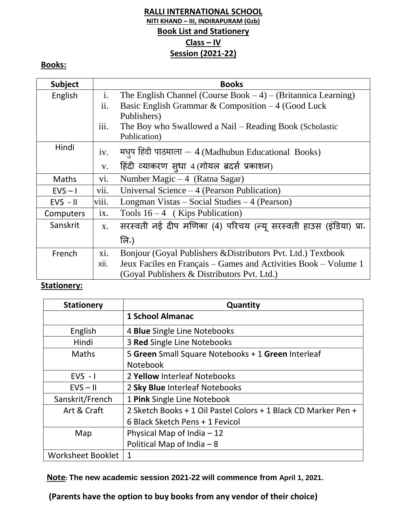# **RALLI INTERNATIONAL SCHOOL NITI KHAND – III, INDIRAPURAM (Gzb) Book List and Stationery Class – IV Session (2021-22)**

# **Books:**

| <b>Subject</b> |                   | <b>Books</b>                                                     |
|----------------|-------------------|------------------------------------------------------------------|
| English        | $\mathbf{i}$ .    | The English Channel (Course Book $-4$ ) – (Britannica Learning)  |
|                | ii.               | Basic English Grammar & Composition $-4$ (Good Luck)             |
|                |                   | Publishers)                                                      |
|                | iii.              | The Boy who Swallowed a Nail – Reading Book (Scholastic          |
|                |                   | Publication)                                                     |
| Hindi          | iv.               | मधुप हिंदी पाठमाला $-4$ (Madhubun Educational Books)             |
|                | V.                | हिंदी व्याकरण सूधा 4 (गोयल ब्रदर्स प्रकाशन)                      |
| <b>Maths</b>   | vi.               | Number Magic $-4$ (Ratna Sagar)                                  |
| $EVS - I$      | vii.              | Universal Science – 4 (Pearson Publication)                      |
| $EVS - II$     | viii.             | Longman Vistas – Social Studies – $4$ (Pearson)                  |
| Computers      | $\overline{1}X$ . | Tools $16-4$ (Kips Publication)                                  |
| Sanskrit       | X.                | सरस्वती नई दीप मणिका (4) परिचय (न्यू सरस्वती हाउस (इंडिया) प्रा. |
|                |                   | लि.)                                                             |
| French         | xi.               | Bonjour (Goyal Publishers & Distributors Pvt. Ltd.) Textbook     |
|                | xii.              | Jeux Faciles en Français – Games and Activities Book – Volume 1  |
|                |                   | (Goyal Publishers & Distributors Pvt. Ltd.)                      |

## **Stationery:**

| <b>Stationery</b>        | Quantity                                                       |
|--------------------------|----------------------------------------------------------------|
|                          | <b>1 School Almanac</b>                                        |
| English                  | 4 Blue Single Line Notebooks                                   |
| Hindi                    | 3 Red Single Line Notebooks                                    |
| <b>Maths</b>             | 5 Green Small Square Notebooks + 1 Green Interleaf             |
|                          | <b>Notebook</b>                                                |
| $EVS - I$                | 2 Yellow Interleaf Notebooks                                   |
| $EVS - II$               | 2 Sky Blue Interleaf Notebooks                                 |
| Sanskrit/French          | 1 Pink Single Line Notebook                                    |
| Art & Craft              | 2 Sketch Books + 1 Oil Pastel Colors + 1 Black CD Marker Pen + |
|                          | 6 Black Sketch Pens + 1 Fevicol                                |
| Map                      | Physical Map of India $-12$                                    |
|                          | Political Map of India $-8$                                    |
| <b>Worksheet Booklet</b> | 1                                                              |

**Note: The new academic session 2021-22 will commence from April 1, 2021.**